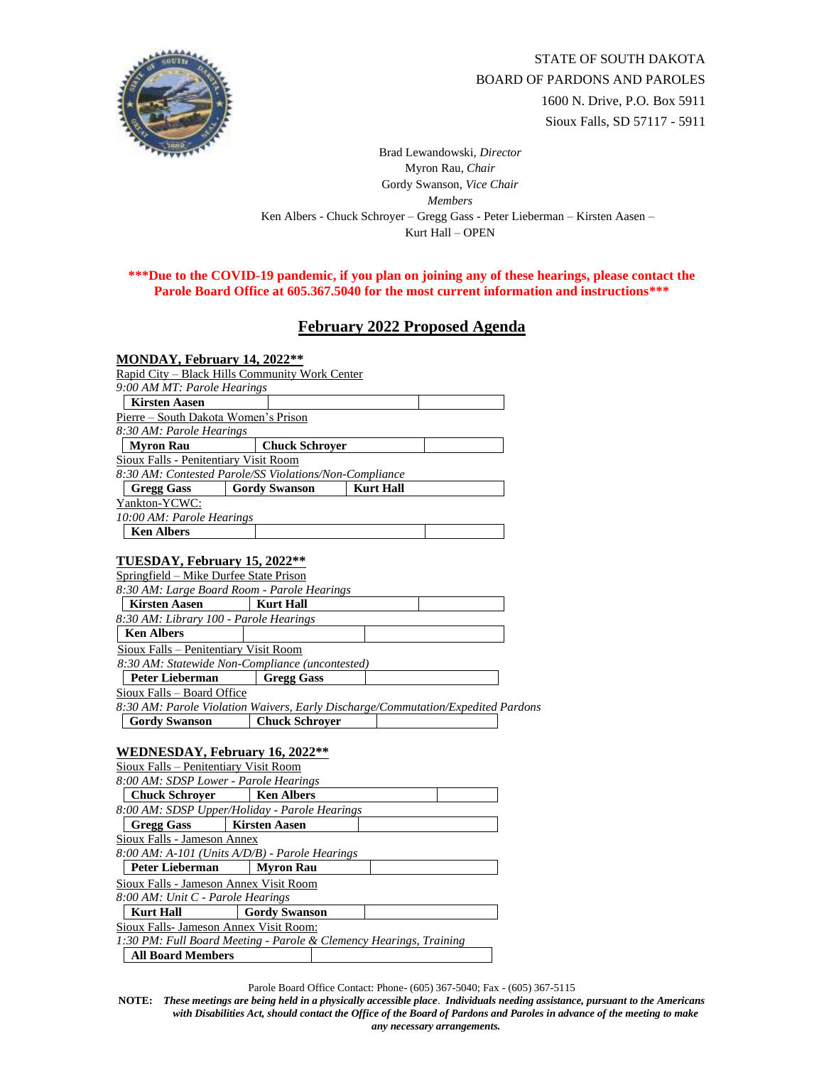

Brad Lewandowski, *Director* Myron Rau, *Chair*  Gordy Swanson, *Vice Chair Members* Ken Albers - Chuck Schroyer – Gregg Gass - Peter Lieberman – Kirsten Aasen – Kurt Hall – OPEN

## **\*\*\*Due to the COVID-19 pandemic, if you plan on joining any of these hearings, please contact the Parole Board Office at 605.367.5040 for the most current information and instructions\*\*\***

## **February 2022 Proposed Agenda**

| MONDAY, February 14, 2022**                  |                                                        |                                                                                  |  |
|----------------------------------------------|--------------------------------------------------------|----------------------------------------------------------------------------------|--|
|                                              | Rapid City - Black Hills Community Work Center         |                                                                                  |  |
| 9:00 AM MT: Parole Hearings                  |                                                        |                                                                                  |  |
| <b>Kirsten Aasen</b>                         |                                                        |                                                                                  |  |
| Pierre - South Dakota Women's Prison         |                                                        |                                                                                  |  |
| 8:30 AM: Parole Hearings                     |                                                        |                                                                                  |  |
| <b>Myron Rau</b>                             | <b>Chuck Schroyer</b>                                  |                                                                                  |  |
| Sioux Falls - Penitentiary Visit Room        |                                                        |                                                                                  |  |
|                                              | 8:30 AM: Contested Parole/SS Violations/Non-Compliance |                                                                                  |  |
| <b>Gregg Gass</b>                            | <b>Gordy Swanson</b>                                   | <b>Kurt Hall</b>                                                                 |  |
| Yankton-YCWC:                                |                                                        |                                                                                  |  |
| 10:00 AM: Parole Hearings                    |                                                        |                                                                                  |  |
| <b>Ken Albers</b>                            |                                                        |                                                                                  |  |
|                                              |                                                        |                                                                                  |  |
| TUESDAY, February 15, 2022**                 |                                                        |                                                                                  |  |
| Springfield - Mike Durfee State Prison       |                                                        |                                                                                  |  |
|                                              | 8:30 AM: Large Board Room - Parole Hearings            |                                                                                  |  |
| <b>Kirsten Aasen</b>                         | <b>Kurt Hall</b>                                       |                                                                                  |  |
| 8:30 AM: Library 100 - Parole Hearings       |                                                        |                                                                                  |  |
| <b>Ken Albers</b>                            |                                                        |                                                                                  |  |
| Sioux Falls - Penitentiary Visit Room        |                                                        |                                                                                  |  |
|                                              | 8:30 AM: Statewide Non-Compliance (uncontested)        |                                                                                  |  |
| <b>Peter Lieberman</b>                       | <b>Gregg Gass</b>                                      |                                                                                  |  |
| Sioux Falls - Board Office                   |                                                        |                                                                                  |  |
|                                              |                                                        | 8:30 AM: Parole Violation Waivers, Early Discharge/Commutation/Expedited Pardons |  |
| <b>Gordy Swanson</b>                         | <b>Chuck Schroyer</b>                                  |                                                                                  |  |
|                                              |                                                        |                                                                                  |  |
| WEDNESDAY, February 16, 2022 <sup>**</sup>   |                                                        |                                                                                  |  |
| <b>Sioux Falls - Penitentiary Visit Room</b> |                                                        |                                                                                  |  |
| 8:00 AM: SDSP Lower - Parole Hearings        |                                                        |                                                                                  |  |
| <b>Chuck Schroyer</b>                        | <b>Ken Albers</b>                                      |                                                                                  |  |
|                                              | 8:00 AM: SDSP Upper/Holiday - Parole Hearings          |                                                                                  |  |
| <b>Gregg Gass</b>                            | <b>Kirsten Aasen</b>                                   |                                                                                  |  |
| Sioux Falls - Jameson Annex                  |                                                        |                                                                                  |  |
|                                              | 8:00 AM: A-101 (Units A/D/B) - Parole Hearings         |                                                                                  |  |
| <b>Peter Lieberman</b>                       | Myron Rau                                              |                                                                                  |  |
| Sioux Falls - Jameson Annex Visit Room       |                                                        |                                                                                  |  |
| 8:00 AM: Unit C - Parole Hearings            |                                                        |                                                                                  |  |
| <b>Kurt Hall</b>                             | <b>Gordy Swanson</b>                                   |                                                                                  |  |
| Sioux Falls- Jameson Annex Visit Room:       |                                                        |                                                                                  |  |
|                                              |                                                        | 1:30 PM: Full Board Meeting - Parole & Clemency Hearings, Training               |  |

**All Board Members** 

Parole Board Office Contact: Phone- (605) 367-5040; Fax - (605) 367-5115

**NOTE:** *These meetings are being held in a physically accessible place*. *Individuals needing assistance, pursuant to the Americans with Disabilities Act, should contact the Office of the Board of Pardons and Paroles in advance of the meeting to make any necessary arrangements.*